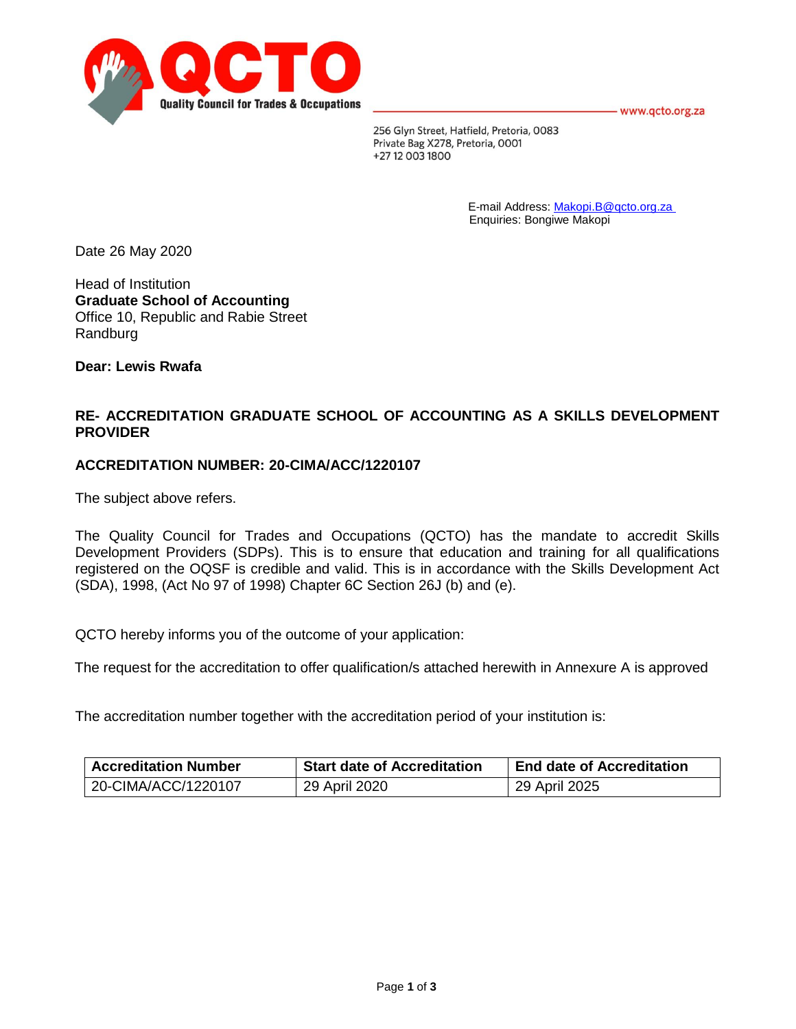- www.qcto.org.za



256 Glyn Street, Hatfield, Pretoria, 0083 Private Bag X278, Pretoria, 0001 +27 12 003 1800

> E-mail Address: [Makopi.B@qcto.org.za](mailto:Makopi.B@qcto.org.za) Enquiries: Bongiwe Makopi

Date 26 May 2020

Head of Institution **Graduate School of Accounting** Office 10, Republic and Rabie Street Randburg

**Dear: Lewis Rwafa**

## **RE- ACCREDITATION GRADUATE SCHOOL OF ACCOUNTING AS A SKILLS DEVELOPMENT PROVIDER**

### **ACCREDITATION NUMBER: 20-CIMA/ACC/1220107**

The subject above refers.

The Quality Council for Trades and Occupations (QCTO) has the mandate to accredit Skills Development Providers (SDPs). This is to ensure that education and training for all qualifications registered on the OQSF is credible and valid. This is in accordance with the Skills Development Act (SDA), 1998, (Act No 97 of 1998) Chapter 6C Section 26J (b) and (e).

QCTO hereby informs you of the outcome of your application:

The request for the accreditation to offer qualification/s attached herewith in Annexure A is approved

The accreditation number together with the accreditation period of your institution is:

| <b>Accreditation Number</b> | <b>Start date of Accreditation</b> | <b>End date of Accreditation</b> |  |
|-----------------------------|------------------------------------|----------------------------------|--|
| 20-CIMA/ACC/1220107         | 29 April 2020                      | 29 April 2025                    |  |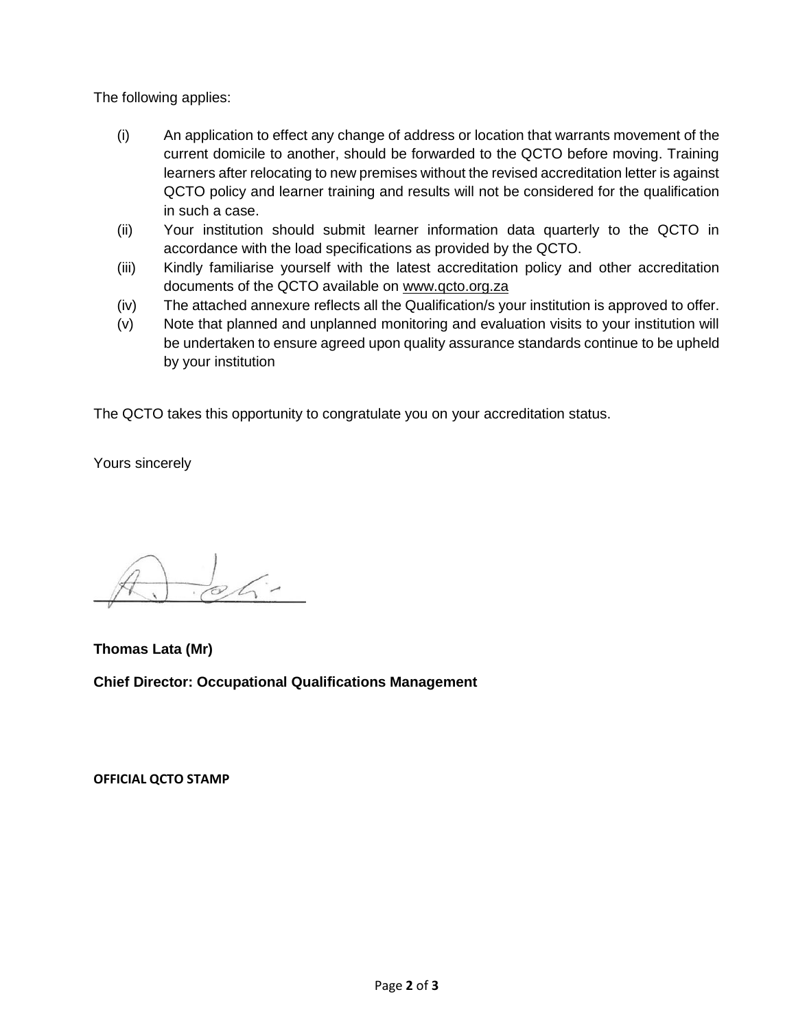The following applies:

- (i) An application to effect any change of address or location that warrants movement of the current domicile to another, should be forwarded to the QCTO before moving. Training learners after relocating to new premises without the revised accreditation letter is against QCTO policy and learner training and results will not be considered for the qualification in such a case.
- (ii) Your institution should submit learner information data quarterly to the QCTO in accordance with the load specifications as provided by the QCTO.
- (iii) Kindly familiarise yourself with the latest accreditation policy and other accreditation documents of the QCTO available on [www.qcto.org.za](http://www.qcto.org.za/)
- (iv) The attached annexure reflects all the Qualification/s your institution is approved to offer.
- (v) Note that planned and unplanned monitoring and evaluation visits to your institution will be undertaken to ensure agreed upon quality assurance standards continue to be upheld by your institution

The QCTO takes this opportunity to congratulate you on your accreditation status.

Yours sincerely

 $\frac{1}{2}$ 

**Thomas Lata (Mr) Chief Director: Occupational Qualifications Management**

**OFFICIAL QCTO STAMP**